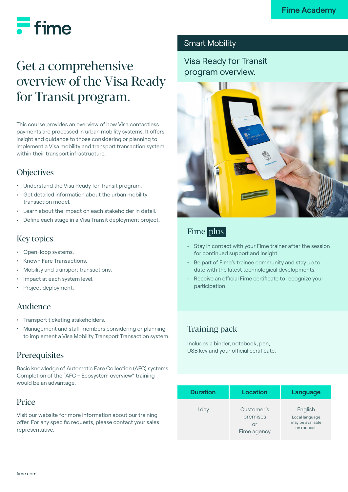# $\equiv$  fime

## Get a comprehensive overview of the Visa Ready for Transit program.

This course provides an overview of how Visa contactless payments are processed in urban mobility systems. It offers insight and guidance to those considering or planning to implement a Visa mobility and transport transaction system within their transport infrastructure.

## **Objectives**

- Understand the Visa Ready for Transit program.
- Get detailed information about the urban mobility transaction model.
- Learn about the impact on each stakeholder in detail.
- Define each stage in a Visa Transit deployment project.

## Key topics

- Open-loop systems.
- Known Fare Transactions.
- Mobility and transport transactions.
- Impact at each system level.
- Project deployment.

## Audience

- Transport ticketing stakeholders.
- Management and staff members considering or planning to implement a Visa Mobility Transport Transaction system.

## **Prerequisites**

Basic knowledge of Automatic Fare Collection (AFC) systems. Completion of the "AFC – Ecosystem overview" training would be an advantage.

### Price

Visit our [website](https://www.fime.com/fr/) for more information about our training offer. For any specific requests, please contact your sales representative.

### Smart Mobility

Visa Ready for Transit program overview.



## Fime plus

- Stay in contact with your Fime trainer after the session for continued support and insight.
- Be part of Fime's trainee community and stay up to date with the latest technological developments.
- Receive an official Fime certificate to recognize your participation.

## Training pack

Includes a binder, notebook, pen, USB key and your official certificate.

| <b>Duration</b> | Location                                    | Language                                                     |
|-----------------|---------------------------------------------|--------------------------------------------------------------|
| 1 day           | Customer's<br>premises<br>or<br>Fime agency | English<br>Local language<br>may be available<br>on request. |